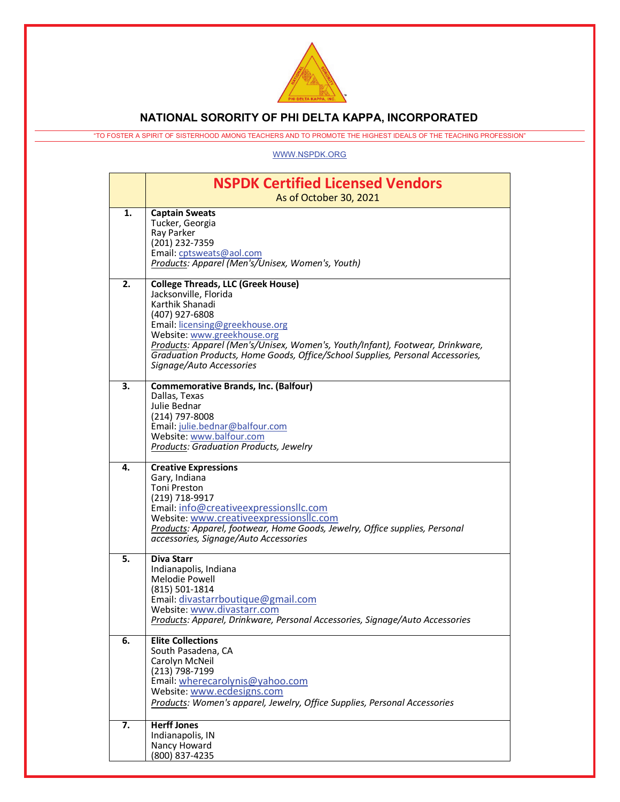

## **NATIONAL SORORITY OF PHI DELTA KAPPA, INCORPORATED**

"TO FOSTER A SPIRIT OF SISTERHOOD AMONG TEACHERS AND TO PROMOTE THE HIGHEST IDEALS OF THE TEACHING PROFESSION"

[WWW.NSPDK.ORG](http://www.nspdk.org/)

|    | <b>NSPDK Certified Licensed Vendors</b><br>As of October 30, 2021                                                                                                                                                                                                                                                                                                        |
|----|--------------------------------------------------------------------------------------------------------------------------------------------------------------------------------------------------------------------------------------------------------------------------------------------------------------------------------------------------------------------------|
| 1. | <b>Captain Sweats</b><br>Tucker, Georgia<br>Ray Parker<br>(201) 232-7359<br>Email: cptsweats@aol.com<br>Products: Apparel (Men's/Unisex, Women's, Youth)                                                                                                                                                                                                                 |
| 2. | <b>College Threads, LLC (Greek House)</b><br>Jacksonville, Florida<br>Karthik Shanadi<br>(407) 927-6808<br>Email: licensing@greekhouse.org<br>Website: www.greekhouse.org<br>Products: Apparel (Men's/Unisex, Women's, Youth/Infant), Footwear, Drinkware,<br>Graduation Products, Home Goods, Office/School Supplies, Personal Accessories,<br>Signage/Auto Accessories |
| 3. | <b>Commemorative Brands, Inc. (Balfour)</b><br>Dallas, Texas<br>Julie Bednar<br>(214) 797-8008<br>Email: julie.bednar@balfour.com<br>Website: www.balfour.com<br><b>Products: Graduation Products, Jewelry</b>                                                                                                                                                           |
| 4. | <b>Creative Expressions</b><br>Gary, Indiana<br>Toni Preston<br>(219) 718-9917<br>Email: info@creativeexpressionsllc.com<br>Website: www.creativeexpressionsllc.com<br>Products: Apparel, footwear, Home Goods, Jewelry, Office supplies, Personal<br>accessories, Signage/Auto Accessories                                                                              |
| 5. | <b>Diva Starr</b><br>Indianapolis, Indiana<br>Melodie Powell<br>(815) 501-1814<br>Email: divastarrboutique@gmail.com<br>Website: www.divastarr.com<br>Products: Apparel, Drinkware, Personal Accessories, Signage/Auto Accessories                                                                                                                                       |
| 6. | <b>Elite Collections</b><br>South Pasadena, CA<br>Carolyn McNeil<br>(213) 798-7199<br>Email: wherecarolynis@yahoo.com<br>Website: www.ecdesigns.com<br>Products: Women's apparel, Jewelry, Office Supplies, Personal Accessories                                                                                                                                         |
| 7. | <b>Herff Jones</b><br>Indianapolis, IN<br>Nancy Howard<br>(800) 837-4235                                                                                                                                                                                                                                                                                                 |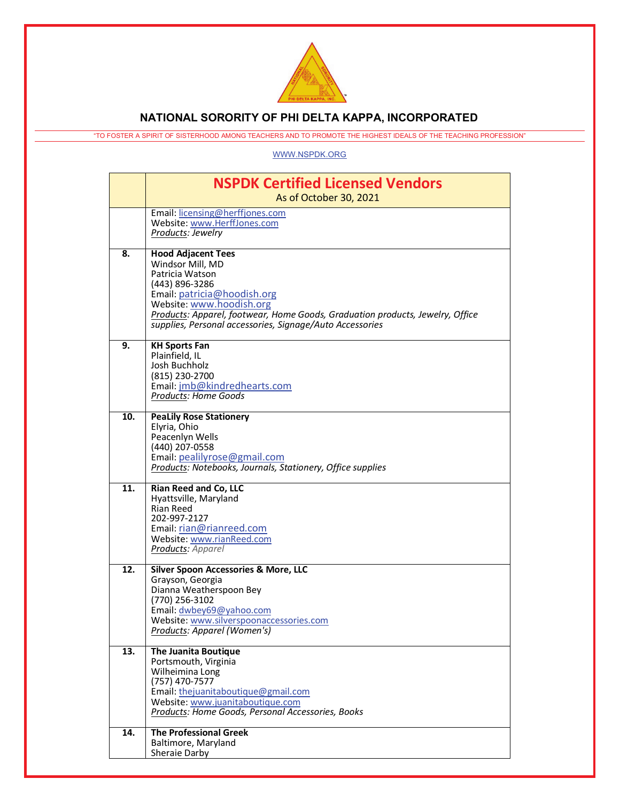

## **NATIONAL SORORITY OF PHI DELTA KAPPA, INCORPORATED**

"TO FOSTER A SPIRIT OF SISTERHOOD AMONG TEACHERS AND TO PROMOTE THE HIGHEST IDEALS OF THE TEACHING PROFESSION"

## [WWW.NSPDK.ORG](http://www.nspdk.org/)

|     | <b>NSPDK Certified Licensed Vendors</b><br>As of October 30, 2021                                                                                                                                                                                                                          |
|-----|--------------------------------------------------------------------------------------------------------------------------------------------------------------------------------------------------------------------------------------------------------------------------------------------|
|     | Email: licensing@herffjones.com<br>Website: www.HerffJones.com<br>Products: Jewelry                                                                                                                                                                                                        |
| 8.  | <b>Hood Adjacent Tees</b><br>Windsor Mill, MD<br>Patricia Watson<br>(443) 896-3286<br>Email: patricia@hoodish.org<br>Website: www.hoodish.org<br>Products: Apparel, footwear, Home Goods, Graduation products, Jewelry, Office<br>supplies, Personal accessories, Signage/Auto Accessories |
| 9.  | <b>KH Sports Fan</b><br>Plainfield, IL<br>Josh Buchholz<br>(815) 230-2700<br>Email: jmb@kindredhearts.com<br><b>Products: Home Goods</b>                                                                                                                                                   |
| 10. | <b>PeaLily Rose Stationery</b><br>Elyria, Ohio<br>Peacenlyn Wells<br>(440) 207-0558<br>Email: pealilyrose@gmail.com<br>Products: Notebooks, Journals, Stationery, Office supplies                                                                                                          |
| 11. | Rian Reed and Co, LLC<br>Hyattsville, Maryland<br><b>Rian Reed</b><br>202-997-2127<br>Email: rian@rianreed.com<br>Website: www.rianReed.com<br>Products: Apparel                                                                                                                           |
| 12. | <b>Silver Spoon Accessories &amp; More, LLC</b><br>Grayson, Georgia<br>Dianna Weatherspoon Bey<br>(770) 256-3102<br>Email: dwbey69@yahoo.com<br>Website: www.silverspoonaccessories.com<br>Products: Apparel (Women's)                                                                     |
| 13. | <b>The Juanita Boutique</b><br>Portsmouth, Virginia<br>Wilheimina Long<br>(757) 470-7577<br>Email: thejuanitaboutique@gmail.com<br>Website: www.juanitaboutique.com<br>Products: Home Goods, Personal Accessories, Books                                                                   |
| 14. | <b>The Professional Greek</b><br>Baltimore, Maryland<br>Sheraie Darby                                                                                                                                                                                                                      |